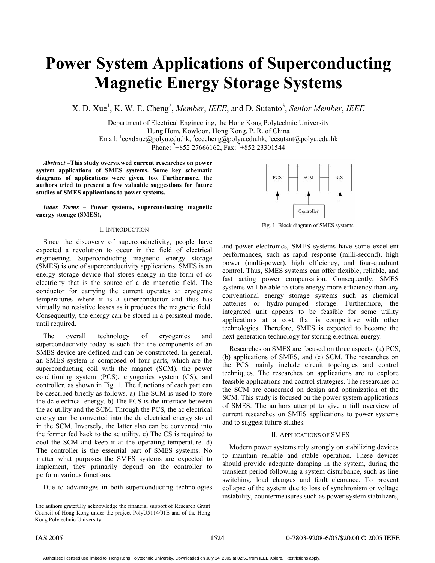# **Power System Applications of Superconducting Magnetic Energy Storage Systems**

X. D. Xue<sup>1</sup>, K. W. E. Cheng<sup>2</sup>, Member, *IEEE*, and D. Sutanto<sup>3</sup>, Senior Member, *IEEE* 

Department of Electrical Engineering, the Hong Kong Polytechnic University Hung Hom, Kowloon, Hong Kong, P. R. of China Email:  $\frac{1}{2}$ eexdxue@polyu.edu.hk,  $\frac{2}{2}$ eeecheng@polyu.edu.hk,  $\frac{3}{2}$ eesutant@polyu.edu.hk Phone: <sup>2</sup>+852 27666162, Fax: <sup>2</sup>+852 23301544

*Abstract* **–This study overviewed current researches on power system applications of SMES systems. Some key schematic diagrams of applications were given, too. Furthermore, the authors tried to present a few valuable suggestions for future studies of SMES applications to power systems.** 

*Index Terms* **– Power systems, superconducting magnetic energy storage (SMES),** 

# I. INTRODUCTION

Since the discovery of superconductivity, people have expected a revolution to occur in the field of electrical engineering. Superconducting magnetic energy storage (SMES) is one of superconductivity applications. SMES is an energy storage device that stores energy in the form of dc electricity that is the source of a dc magnetic field. The conductor for carrying the current operates at cryogenic temperatures where it is a superconductor and thus has virtually no resistive losses as it produces the magnetic field. Consequently, the energy can be stored in a persistent mode, until required.

The overall technology of cryogenics and superconductivity today is such that the components of an SMES device are defined and can be constructed. In general, an SMES system is composed of four parts, which are the superconducting coil with the magnet (SCM), the power conditioning system (PCS), cryogenics system (CS), and controller, as shown in Fig. 1. The functions of each part can be described briefly as follows. a) The SCM is used to store the dc electrical energy. b) The PCS is the interface between the ac utility and the SCM. Through the PCS, the ac electrical energy can be converted into the dc electrical energy stored in the SCM. Inversely, the latter also can be converted into the former fed back to the ac utility. c) The CS is required to cool the SCM and keep it at the operating temperature. d) The controller is the essential part of SMES systems. No matter what purposes the SMES systems are expected to implement, they primarily depend on the controller to perform various functions.

Due to advantages in both superconducting technologies



Fig. 1. Block diagram of SMES systems

and power electronics, SMES systems have some excellent performances, such as rapid response (milli-second), high power (multi-power), high efficiency, and four-quadrant control. Thus, SMES systems can offer flexible, reliable, and fast acting power compensation. Consequently, SMES systems will be able to store energy more efficiency than any conventional energy storage systems such as chemical batteries or hydro-pumped storage. Furthermore, the integrated unit appears to be feasible for some utility applications at a cost that is competitive with other technologies. Therefore, SMES is expected to become the next generation technology for storing electrical energy.

Researches on SMES are focused on three aspects: (a) PCS, (b) applications of SMES, and (c) SCM. The researches on the PCS mainly include circuit topologies and control techniques. The researches on applications are to explore feasible applications and control strategies. The researches on the SCM are concerned on design and optimization of the SCM. This study is focused on the power system applications of SMES. The authors attempt to give a full overview of current researches on SMES applications to power systems and to suggest future studies.

#### II. APPLICATIONS OF SMES

 Modern power systems rely strongly on stabilizing devices to maintain reliable and stable operation. These devices should provide adequate damping in the system, during the transient period following a system disturbance, such as line switching, load changes and fault clearance. To prevent collapse of the system due to loss of synchronism or voltage instability, countermeasures such as power system stabilizers,

The authors gratefully acknowledge the financial support of Research Grant Council of Hong Kong under the project PolyU5114/01E and of the Hong Kong Polytechnic University.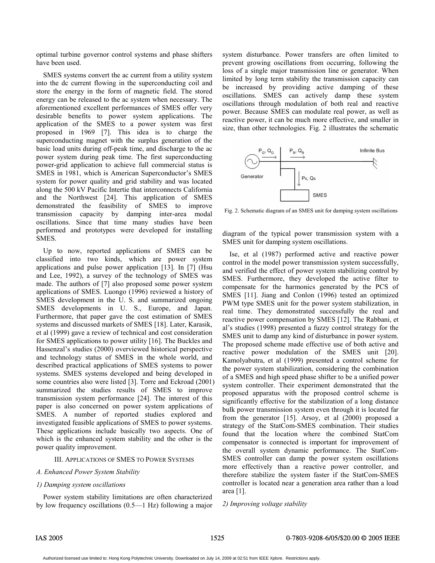optimal turbine governor control systems and phase shifters have been used.

SMES systems convert the ac current from a utility system into the dc current flowing in the superconducting coil and store the energy in the form of magnetic field. The stored energy can be released to the ac system when necessary. The aforementioned excellent performances of SMES offer very desirable benefits to power system applications. The application of the SMES to a power system was first proposed in 1969 [7]. This idea is to charge the superconducting magnet with the surplus generation of the basic load units during off-peak time, and discharge to the ac power system during peak time. The first superconducting power-grid application to achieve full commercial status is SMES in 1981, which is American Superconductor's SMES system for power quality and grid stability and was located along the 500 kV Pacific Intertie that interconnects California and the Northwest [24]. This application of SMES demonstrated the feasibility of SMES to improve transmission capacity by damping inter-area modal oscillations. Since that time many studies have been performed and prototypes were developed for installing SMES.

Up to now, reported applications of SMES can be classified into two kinds, which are power system applications and pulse power application [13]. In [7] (Hsu and Lee, 1992), a survey of the technology of SMES was made. The authors of [7] also proposed some power system applications of SMES. Luongo (1996) reviewed a history of SMES development in the U. S. and summarized ongoing SMES developments in U. S., Europe, and Japan. Furthermore, that paper gave the cost estimation of SMES systems and discussed markets of SMES [18]. Later, Karasik, et al (1999) gave a review of technical and cost consideration for SMES applications to power utility [16]. The Buckles and Hassenzal's studies (2000) overviewed historical perspective and technology status of SMES in the whole world, and described practical applications of SMES systems to power systems. SMES systems developed and being developed in some countries also were listed [3]. Torre and Eckroad (2001) summarized the studies results of SMES to improve transmission system performance [24]. The interest of this paper is also concerned on power system applications of SMES. A number of reported studies explored and investigated feasible applications of SMES to power systems. These applications include basically two aspects. One of which is the enhanced system stability and the other is the power quality improvement.

# III. APPLICATIONS OF SMES TO POWER SYSTEMS

# *A. Enhanced Power System Stability*

# *1) Damping system oscillations*

 Power system stability limitations are often characterized by low frequency oscillations (0.5—1 Hz) following a major system disturbance. Power transfers are often limited to prevent growing oscillations from occurring, following the loss of a single major transmission line or generator. When limited by long term stability the transmission capacity can be increased by providing active damping of these oscillations. SMES can actively damp these system oscillations through modulation of both real and reactive power. Because SMES can modulate real power, as well as reactive power, it can be much more effective, and smaller in size, than other technologies. Fig. 2 illustrates the schematic



Fig. 2. Schematic diagram of an SMES unit for damping system oscillations

diagram of the typical power transmission system with a SMES unit for damping system oscillations.

 Ise, et al (1987) performed active and reactive power control in the model power transmission system successfully, and verified the effect of power system stabilizing control by SMES. Furthermore, they developed the active filter to compensate for the harmonics generated by the PCS of SMES [11]. Jiang and Conlon (1996) tested an optimized PWM type SMES unit for the power system stabilization, in real time. They demonstrated successfully the real and reactive power compensation by SMES [12]. The Rabbani, et al's studies (1998) presented a fuzzy control strategy for the SMES unit to damp any kind of disturbance in power system. The proposed scheme made effective use of both active and reactive power modulation of the SMES unit [20]. Kamolyabutra, et al (1999) presented a control scheme for the power system stabilization, considering the combination of a SMES and high speed phase shifter to be a unified power system controller. Their experiment demonstrated that the proposed apparatus with the proposed control scheme is significantly effective for the stabilization of a long distance bulk power transmission system even through it is located far from the generator [15]. Arsoy, et al (2000) proposed a strategy of the StatCom-SMES combination. Their studies found that the location where the combined StatCom compensator is connected is important for improvement of the overall system dynamic performance. The StatCom-SMES controller can damp the power system oscillations more effectively than a reactive power controller, and therefore stabilize the system faster if the StatCom-SMES controller is located near a generation area rather than a load area [1].

*2) Improving voltage stability*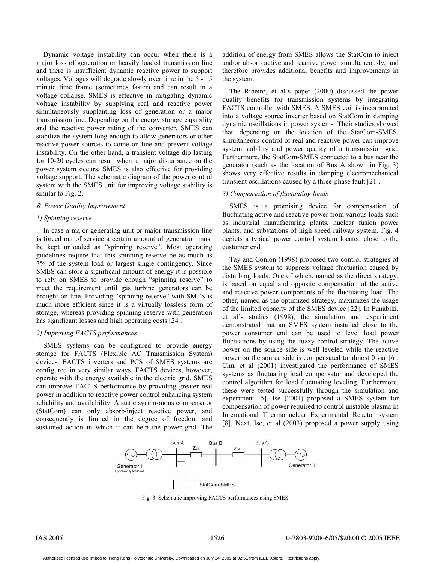Dynamic voltage instability can occur when there is a major loss of generation or heavily loaded transmission line and there is insufficient dynamic reactive power to support voltages. Voltages will degrade slowly over time in the 5 - 15 minute time frame (sometimes faster) and can result in a voltage collapse. SMES is effective in mitigating dynamic voltage instability by supplying real and reactive power simultaneously supplanting loss of generation or a major transmission line. Depending on the energy storage capability and the reactive power rating of the converter, SMES can stabilize the system long enough to allow generators or other reactive power sources to come on line and prevent voltage instability. On the other hand, a transient voltage dip lasting for 10-20 cycles can result when a major disturbance on the power system occurs. SMES is also effective for providing voltage support. The schematic diagram of the power control system with the SMES unit for improving voltage stability is similar to Fig. 2.

# *B. Power Quality Improvement*

### *1) Spinning reserve*

 In case a major generating unit or major transmission line is forced out of service a certain amount of generation must be kept unloaded as "spinning reserve". Most operating guidelines require that this spinning reserve be as much as 7% of the system load or largest single contingency. Since SMES can store a significant amount of energy it is possible to rely on SMES to provide enough "spinning reserve" to meet the requirement until gas turbine generators can be brought on-line. Providing "spinning reserve" with SMES is much more efficient since it is a virtually lossless form of storage, whereas providing spinning reserve with generation has significant losses and high operating costs [24].

# *2) Improving FACTS performances*

SMES systems can be configured to provide energy storage for FACTS (Flexible AC Transmission System) devices. FACTS inverters and PCS of SMES systems are configured in very similar ways. FACTS devices, however, operate with the energy available in the electric grid. SMES can improve FACTS performance by providing greater real power in addition to reactive power control enhancing system reliability and availability. A static synchronous compensator (StatCom) can only absorb/inject reactive power, and consequently is limited in the degree of freedom and sustained action in which it can help the power grid. The addition of energy from SMES allows the StatCom to inject and/or absorb active and reactive power simultaneously, and therefore provides additional benefits and improvements in the system.

The Ribeiro, et al's paper (2000) discussed the power quality benefits for transmission systems by integrating FACTS controller with SMES. A SMES coil is incorporated into a voltage source inverter based on StatCom in damping dynamic oscillations in power systems. Their studies showed that, depending on the location of the StatCom-SMES, simultaneous control of real and reactive power can improve system stability and power quality of a transmission grid. Furthermore, the StatCom-SMES connected to a bus near the generator (such as the location of Bus A shown in Fig. 3) shows very effective results in damping electromechanical transient oscillations caused by a three-phase fault [21].

# *3) Compensation of fluctuating loads*

 SMES is a promising device for compensation of fluctuating active and reactive power from various loads such as industrial manufacturing plants, nuclear fusion power plants, and substations of high speed railway system. Fig. 4 depicts a typical power control system located close to the customer end.

 Tay and Conlon (1998) proposed two control strategies of the SMES system to suppress voltage fluctuation caused by disturbing loads. One of which, named as the direct strategy, is based on equal and opposite compensation of the active and reactive power components of the fluctuating load. The other, named as the optimized strategy, maximizes the usage of the limited capacity of the SMES device [22]. In Funabiki, et al's studies (1998), the simulation and experiment demonstrated that an SMES system installed close to the power consumer end can be used to level load power fluctuations by using the fuzzy control strategy. The active power on the source side is well leveled while the reactive power on the source side is compensated to almost 0 var [6]. Chu, et al (2001) investigated the performance of SMES systems as fluctuating load compensator and developed the control algorithm for load fluctuating leveling. Furthermore, these were tested successfully through the simulation and experiment [5]. Ise (2001) proposed a SMES system for compensation of power required to control unstable plasma in International Thermonuclear Experimental Reactor system [8]. Next, Ise, et al (2003) proposed a power supply using



Fig. 3. Schematic improving FACTS performances using SMES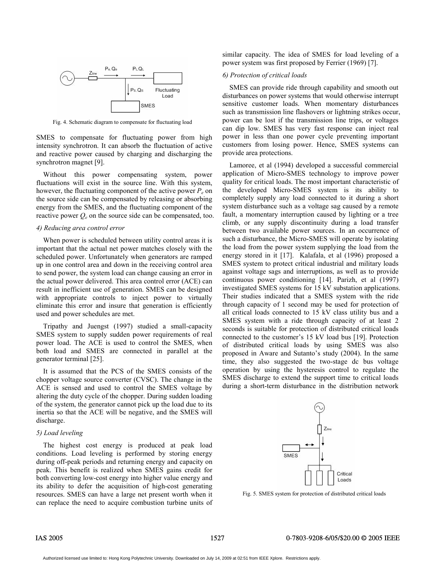

Fig. 4. Schematic diagram to compensate for fluctuating load

SMES to compensate for fluctuating power from high intensity synchrotron. It can absorb the fluctuation of active and reactive power caused by charging and discharging the synchrotron magnet [9].

Without this power compensating system, power fluctuations will exist in the source line. With this system, however, the fluctuating component of the active power  $P_e$  on the source side can be compensated by releasing or absorbing energy from the SMES, and the fluctuating component of the reactive power  $Q_e$  on the source side can be compensated, too.

#### *4) Reducing area control error*

 When power is scheduled between utility control areas it is important that the actual net power matches closely with the scheduled power. Unfortunately when generators are ramped up in one control area and down in the receiving control area to send power, the system load can change causing an error in the actual power delivered. This area control error (ACE) can result in inefficient use of generation. SMES can be designed with appropriate controls to inject power to virtually eliminate this error and insure that generation is efficiently used and power schedules are met.

 Tripathy and Juengst (1997) studied a small-capacity SMES system to supply sudden power requirements of real power load. The ACE is used to control the SMES, when both load and SMES are connected in parallel at the generator terminal [25].

It is assumed that the PCS of the SMES consists of the chopper voltage source converter (CVSC). The change in the ACE is sensed and used to control the SMES voltage by altering the duty cycle of the chopper. During sudden loading of the system, the generator cannot pick up the load due to its inertia so that the ACE will be negative, and the SMES will discharge.

# *5) Load leveling*

The highest cost energy is produced at peak load conditions. Load leveling is performed by storing energy during off-peak periods and returning energy and capacity on peak. This benefit is realized when SMES gains credit for both converting low-cost energy into higher value energy and its ability to defer the acquisition of high-cost generating resources. SMES can have a large net present worth when it can replace the need to acquire combustion turbine units of similar capacity. The idea of SMES for load leveling of a power system was first proposed by Ferrier (1969) [7].

# *6) Protection of critical loads*

 SMES can provide ride through capability and smooth out disturbances on power systems that would otherwise interrupt sensitive customer loads. When momentary disturbances such as transmission line flashovers or lightning strikes occur, power can be lost if the transmission line trips, or voltages can dip low. SMES has very fast response can inject real power in less than one power cycle preventing important customers from losing power. Hence, SMES systems can provide area protections.

 Lamoree, et al (1994) developed a successful commercial application of Micro-SMES technology to improve power quality for critical loads. The most important characteristic of the developed Micro-SMES system is its ability to completely supply any load connected to it during a short system disturbance such as a voltage sag caused by a remote fault, a momentary interruption caused by lighting or a tree climb, or any supply discontinuity during a load transfer between two available power sources. In an occurrence of such a disturbance, the Micro-SMES will operate by isolating the load from the power system supplying the load from the energy stored in it [17]. Kalafala, et al (1996) proposed a SMES system to protect critical industrial and military loads against voltage sags and interruptions, as well as to provide continuous power conditioning [14]. Parizh, et al (1997) investigated SMES systems for 15 kV substation applications. Their studies indicated that a SMES system with the ride through capacity of 1 second may be used for protection of all critical loads connected to 15 kV class utility bus and a SMES system with a ride through capacity of at least 2 seconds is suitable for protection of distributed critical loads connected to the customer's 15 kV load bus [19]. Protection of distributed critical loads by using SMES was also proposed in Aware and Sutanto's study (2004). In the same time, they also suggested the two-stage dc bus voltage operation by using the hysteresis control to regulate the SMES discharge to extend the support time to critical loads during a short-term disturbance in the distribution network



Fig. 5. SMES system for protection of distributed critical loads

# IAS 2005 1527 0-7803-9208-6/05/\$20.00 © 2005 IEEE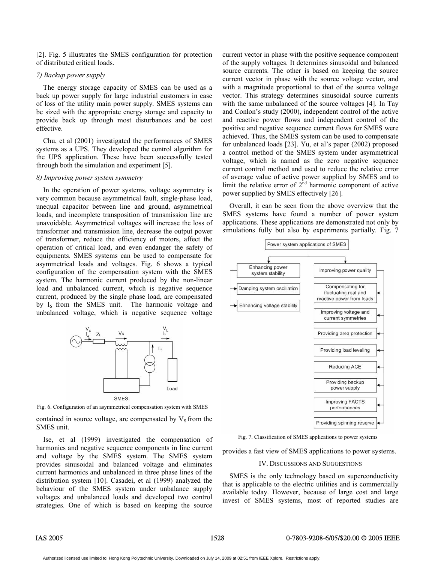[2]. Fig. 5 illustrates the SMES configuration for protection of distributed critical loads.

# *7) Backup power supply*

 The energy storage capacity of SMES can be used as a back up power supply for large industrial customers in case of loss of the utility main power supply. SMES systems can be sized with the appropriate energy storage and capacity to provide back up through most disturbances and be cost effective.

 Chu, et al (2001) investigated the performances of SMES systems as a UPS. They developed the control algorithm for the UPS application. These have been successfully tested through both the simulation and experiment [5].

#### *8) Improving power system symmetry*

 In the operation of power systems, voltage asymmetry is very common because asymmetrical fault, single-phase load, unequal capacitor between line and ground, asymmetrical loads, and incomplete transposition of transmission line are unavoidable. Asymmetrical voltages will increase the loss of transformer and transmission line, decrease the output power of transformer, reduce the efficiency of motors, affect the operation of critical load, and even endanger the safety of equipments. SMES systems can be used to compensate for asymmetrical loads and voltages. Fig. 6 shows a typical configuration of the compensation system with the SMES system. The harmonic current produced by the non-linear load and unbalanced current, which is negative sequence current, produced by the single phase load, are compensated by I<sub>s</sub> from the SMES unit. The harmonic voltage and unbalanced voltage, which is negative sequence voltage



SMES<br>Fig. 6. Configuration of an asymmetrical compensation system with SMES

contained in source voltage, are compensated by  $V<sub>S</sub>$  from the SMES unit.

 Ise, et al (1999) investigated the compensation of harmonics and negative sequence components in line current and voltage by the SMES system. The SMES system provides sinusoidal and balanced voltage and eliminates current harmonics and unbalanced in three phase lines of the distribution system [10]. Casadei, et al (1999) analyzed the behaviour of the SMES system under unbalance supply voltages and unbalanced loads and developed two control strategies. One of which is based on keeping the source

current vector in phase with the positive sequence component of the supply voltages. It determines sinusoidal and balanced source currents. The other is based on keeping the source current vector in phase with the source voltage vector, and with a magnitude proportional to that of the source voltage vector. This strategy determines sinusoidal source currents with the same unbalanced of the source voltages [4]. In Tay and Conlon's study (2000), independent control of the active and reactive power flows and independent control of the positive and negative sequence current flows for SMES were achieved. Thus, the SMES system can be used to compensate for unbalanced loads [23]. Yu, et al's paper (2002) proposed a control method of the SMES system under asymmetrical voltage, which is named as the zero negative sequence current control method and used to reduce the relative error of average value of active power supplied by SMES and to limit the relative error of  $2<sup>nd</sup>$  harmonic component of active power supplied by SMES effectively [26].

Overall, it can be seen from the above overview that the SMES systems have found a number of power system applications. These applications are demonstrated not only by simulations fully but also by experiments partially. Fig. 7



Fig. 7. Classification of SMES applications to power systems

provides a fast view of SMES applications to power systems.

# IV. DISCUSSIONS AND SUGGESTIONS

 SMES is the only technology based on superconductivity that is applicable to the electric utilities and is commercially available today. However, because of large cost and large invest of SMES systems, most of reported studies are

# IAS 2005 1528 0-7803-9208-6/05/\$20.00 © 2005 IEEE